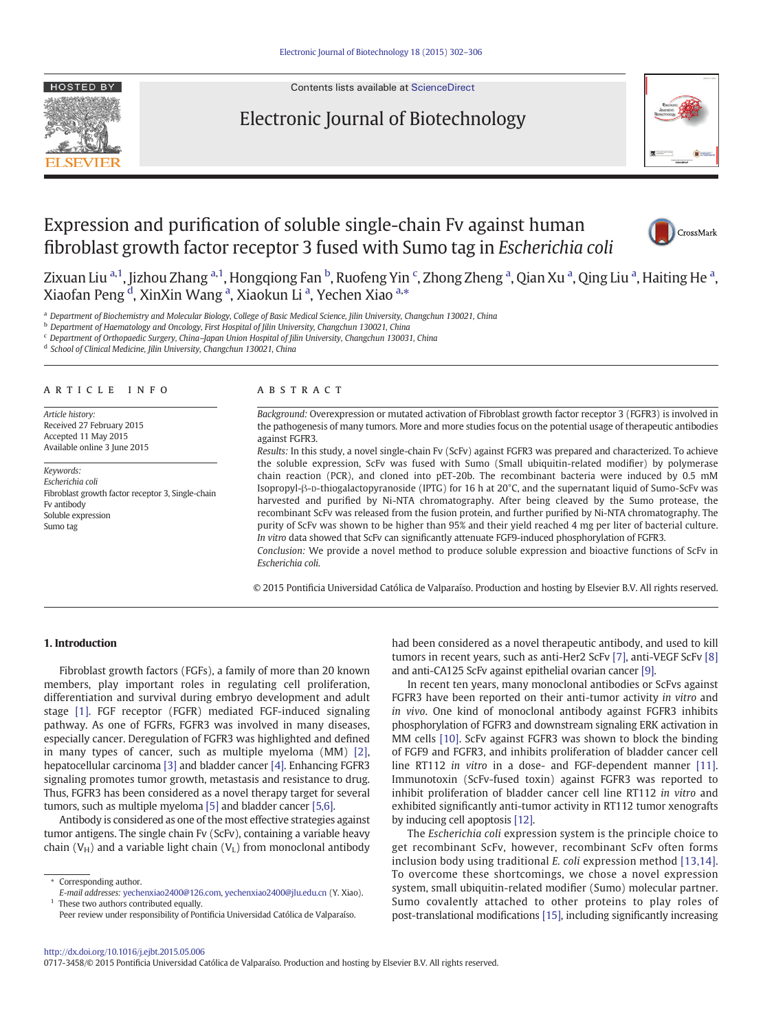

Contents lists available at [ScienceDirect](http://www.sciencedirect.com/science/journal/)

# Electronic Journal of Biotechnology



# Expression and purification of soluble single-chain Fv against human fibroblast growth factor receptor 3 fused with Sumo tag in Escherichia coli



Zixuan Liu <sup>a,1</sup>, Jizhou Zhang <sup>a,1</sup>, Hongqiong Fan <sup>b</sup>, Ruofeng Yin <sup>c</sup>, Zhong Zheng <sup>a</sup>, Qian Xu <sup>a</sup>, Qing Liu <sup>a</sup>, Haiting He <sup>a</sup>, Xiaofan Peng <sup>d</sup>, XinXin Wang <sup>a</sup>, Xiaokun Li <sup>a</sup>, Yechen Xiao <sup>a,</sup>\*

a Department of Biochemistry and Molecular Biology, College of Basic Medical Science, Jilin University, Changchun 130021, China

<sup>b</sup> Department of Haematology and Oncology, First Hospital of Jilin University, Changchun 130021, China

 $c$  Department of Orthopaedic Surgery, China-Japan Union Hospital of Jilin University, Changchun 130031, China

<sup>d</sup> School of Clinical Medicine, Jilin University, Changchun 130021, China

#### article info abstract

Article history: Received 27 February 2015 Accepted 11 May 2015 Available online 3 June 2015

Keywords: Escherichia coli Fibroblast growth factor receptor 3, Single-chain Fv antibody Soluble expression Sumo tag

Background: Overexpression or mutated activation of Fibroblast growth factor receptor 3 (FGFR3) is involved in the pathogenesis of many tumors. More and more studies focus on the potential usage of therapeutic antibodies against FGFR3.

Results: In this study, a novel single-chain Fv (ScFv) against FGFR3 was prepared and characterized. To achieve the soluble expression, ScFv was fused with Sumo (Small ubiquitin-related modifier) by polymerase chain reaction (PCR), and cloned into pET-20b. The recombinant bacteria were induced by 0.5 mM Isopropyl-β-D-thiogalactopyranoside (IPTG) for 16 h at 20°C, and the supernatant liquid of Sumo-ScFv was harvested and purified by Ni-NTA chromatography. After being cleaved by the Sumo protease, the recombinant ScFv was released from the fusion protein, and further purified by Ni-NTA chromatography. The purity of ScFv was shown to be higher than 95% and their yield reached 4 mg per liter of bacterial culture. In vitro data showed that ScFv can significantly attenuate FGF9-induced phosphorylation of FGFR3.

Conclusion: We provide a novel method to produce soluble expression and bioactive functions of ScFv in Escherichia coli.

© 2015 Pontificia Universidad Católica de Valparaíso. Production and hosting by Elsevier B.V. All rights reserved.

### 1. Introduction

Fibroblast growth factors (FGFs), a family of more than 20 known members, play important roles in regulating cell proliferation, differentiation and survival during embryo development and adult stage [\[1\]](#page-4-0). FGF receptor (FGFR) mediated FGF-induced signaling pathway. As one of FGFRs, FGFR3 was involved in many diseases, especially cancer. Deregulation of FGFR3 was highlighted and defined in many types of cancer, such as multiple myeloma (MM) [\[2\],](#page-4-0) hepatocellular carcinoma [\[3\]](#page-4-0) and bladder cancer [\[4\].](#page-4-0) Enhancing FGFR3 signaling promotes tumor growth, metastasis and resistance to drug. Thus, FGFR3 has been considered as a novel therapy target for several tumors, such as multiple myeloma [\[5\]](#page-4-0) and bladder cancer [\[5,6\]](#page-4-0).

Antibody is considered as one of the most effective strategies against tumor antigens. The single chain Fv (ScFv), containing a variable heavy chain ( $V_H$ ) and a variable light chain ( $V_L$ ) from monoclonal antibody

⁎ Corresponding author.

Peer review under responsibility of Pontificia Universidad Católica de Valparaíso.

had been considered as a novel therapeutic antibody, and used to kill tumors in recent years, such as anti-Her2 ScFv [\[7\],](#page-4-0) anti-VEGF ScFv [\[8\]](#page-4-0) and anti-CA125 ScFv against epithelial ovarian cancer [\[9\]](#page-4-0).

In recent ten years, many monoclonal antibodies or ScFvs against FGFR3 have been reported on their anti-tumor activity in vitro and in vivo. One kind of monoclonal antibody against FGFR3 inhibits phosphorylation of FGFR3 and downstream signaling ERK activation in MM cells [\[10\]](#page-4-0). ScFv against FGFR3 was shown to block the binding of FGF9 and FGFR3, and inhibits proliferation of bladder cancer cell line RT112 in vitro in a dose- and FGF-dependent manner [\[11\].](#page-4-0) Immunotoxin (ScFv-fused toxin) against FGFR3 was reported to inhibit proliferation of bladder cancer cell line RT112 in vitro and exhibited significantly anti-tumor activity in RT112 tumor xenografts by inducing cell apoptosis [\[12\]](#page-4-0).

The Escherichia coli expression system is the principle choice to get recombinant ScFv, however, recombinant ScFv often forms inclusion body using traditional E. coli expression method [\[13,14\].](#page-4-0) To overcome these shortcomings, we chose a novel expression system, small ubiquitin-related modifier (Sumo) molecular partner. Sumo covalently attached to other proteins to play roles of post-translational modifications [\[15\],](#page-4-0) including significantly increasing

0717-3458/© 2015 Pontificia Universidad Católica de Valparaíso. Production and hosting by Elsevier B.V. All rights reserved.

E-mail addresses: [yechenxiao2400@126.com](mailto:yechenxiao2400@126.com), [yechenxiao2400@jlu.edu.cn](mailto:yechenxiao2400@jlu.edu.cn) (Y. Xiao).  $1$  These two authors contributed equally.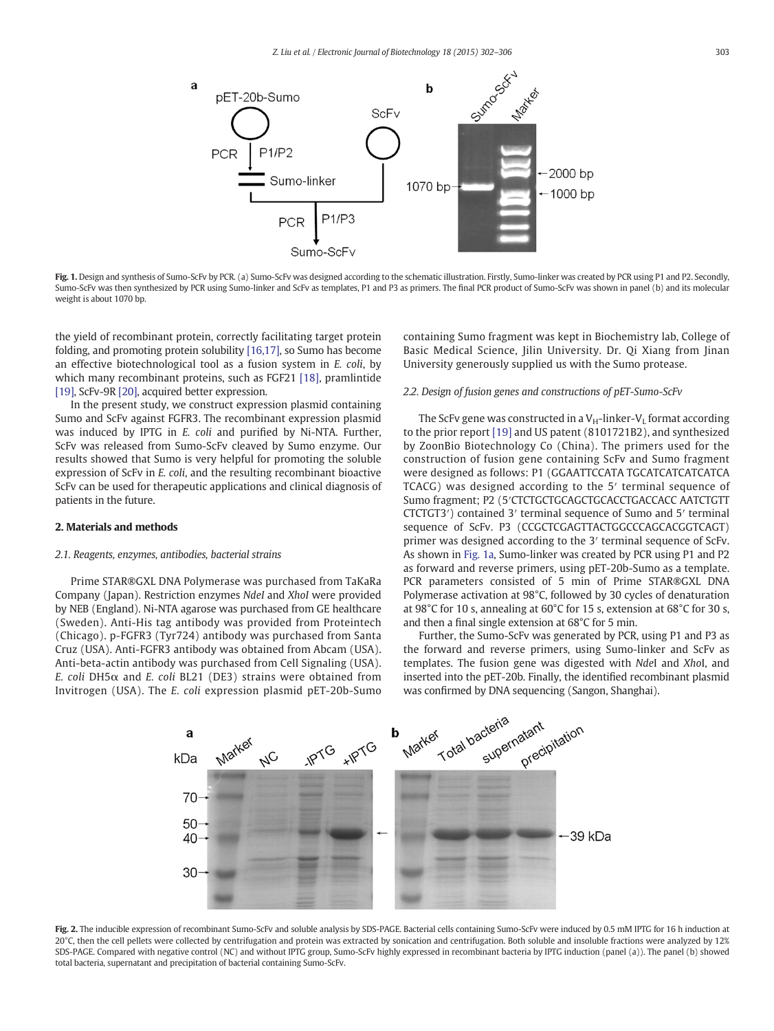<span id="page-1-0"></span>

Fig. 1. Design and synthesis of Sumo-ScFv by PCR. (a) Sumo-ScFv was designed according to the schematic illustration. Firstly, Sumo-linker was created by PCR using P1 and P2. Secondly, Sumo-ScFv was then synthesized by PCR using Sumo-linker and ScFv as templates, P1 and P3 as primers. The final PCR product of Sumo-ScFv was shown in panel (b) and its molecular weight is about 1070 bp.

the yield of recombinant protein, correctly facilitating target protein folding, and promoting protein solubility [\[16,17\]](#page-4-0), so Sumo has become an effective biotechnological tool as a fusion system in E. coli, by which many recombinant proteins, such as FGF21 [\[18\],](#page-4-0) pramlintide [\[19\],](#page-4-0) ScFv-9R [\[20\],](#page-4-0) acquired better expression.

In the present study, we construct expression plasmid containing Sumo and ScFv against FGFR3. The recombinant expression plasmid was induced by IPTG in E. coli and purified by Ni-NTA. Further, ScFv was released from Sumo-ScFv cleaved by Sumo enzyme. Our results showed that Sumo is very helpful for promoting the soluble expression of ScFv in E. coli, and the resulting recombinant bioactive ScFv can be used for therapeutic applications and clinical diagnosis of patients in the future.

#### 2. Materials and methods

#### 2.1. Reagents, enzymes, antibodies, bacterial strains

Prime STAR®GXL DNA Polymerase was purchased from TaKaRa Company (Japan). Restriction enzymes NdeI and XhoI were provided by NEB (England). Ni-NTA agarose was purchased from GE healthcare (Sweden). Anti-His tag antibody was provided from Proteintech (Chicago). p-FGFR3 (Tyr724) antibody was purchased from Santa Cruz (USA). Anti-FGFR3 antibody was obtained from Abcam (USA). Anti-beta-actin antibody was purchased from Cell Signaling (USA). E. coli DH5 $\alpha$  and E. coli BL21 (DE3) strains were obtained from Invitrogen (USA). The E. coli expression plasmid pET-20b-Sumo containing Sumo fragment was kept in Biochemistry lab, College of Basic Medical Science, Jilin University. Dr. Qi Xiang from Jinan University generously supplied us with the Sumo protease.

#### 2.2. Design of fusion genes and constructions of pET-Sumo-ScFv

The ScFv gene was constructed in a  $V_H$ -linker- $V_I$  format according to the prior report [\[19\]](#page-4-0) and US patent (8101721B2), and synthesized by ZoonBio Biotechnology Co (China). The primers used for the construction of fusion gene containing ScFv and Sumo fragment were designed as follows: P1 (GGAATTCCATA TGCATCATCATCATCA TCACG) was designed according to the 5′ terminal sequence of Sumo fragment; P2 (5′CTCTGCTGCAGCTGCACCTGACCACC AATCTGTT CTCTGT3′) contained 3′ terminal sequence of Sumo and 5′ terminal sequence of ScFv. P3 (CCGCTCGAGTTACTGGCCCAGCACGGTCAGT) primer was designed according to the 3′ terminal sequence of ScFv. As shown in Fig. 1a, Sumo-linker was created by PCR using P1 and P2 as forward and reverse primers, using pET-20b-Sumo as a template. PCR parameters consisted of 5 min of Prime STAR®GXL DNA Polymerase activation at 98°C, followed by 30 cycles of denaturation at 98°C for 10 s, annealing at 60°C for 15 s, extension at 68°C for 30 s, and then a final single extension at 68°C for 5 min.

Further, the Sumo-ScFv was generated by PCR, using P1 and P3 as the forward and reverse primers, using Sumo-linker and ScFv as templates. The fusion gene was digested with NdeI and XhoI, and inserted into the pET-20b. Finally, the identified recombinant plasmid was confirmed by DNA sequencing (Sangon, Shanghai).



Fig. 2. The inducible expression of recombinant Sumo-ScFv and soluble analysis by SDS-PAGE. Bacterial cells containing Sumo-ScFv were induced by 0.5 mM IPTG for 16 h induction at 20°C, then the cell pellets were collected by centrifugation and protein was extracted by sonication and centrifugation. Both soluble and insoluble fractions were analyzed by 12% SDS-PAGE. Compared with negative control (NC) and without IPTG group, Sumo-ScFv highly expressed in recombinant bacteria by IPTG induction (panel (a)). The panel (b) showed total bacteria, supernatant and precipitation of bacterial containing Sumo-ScFv.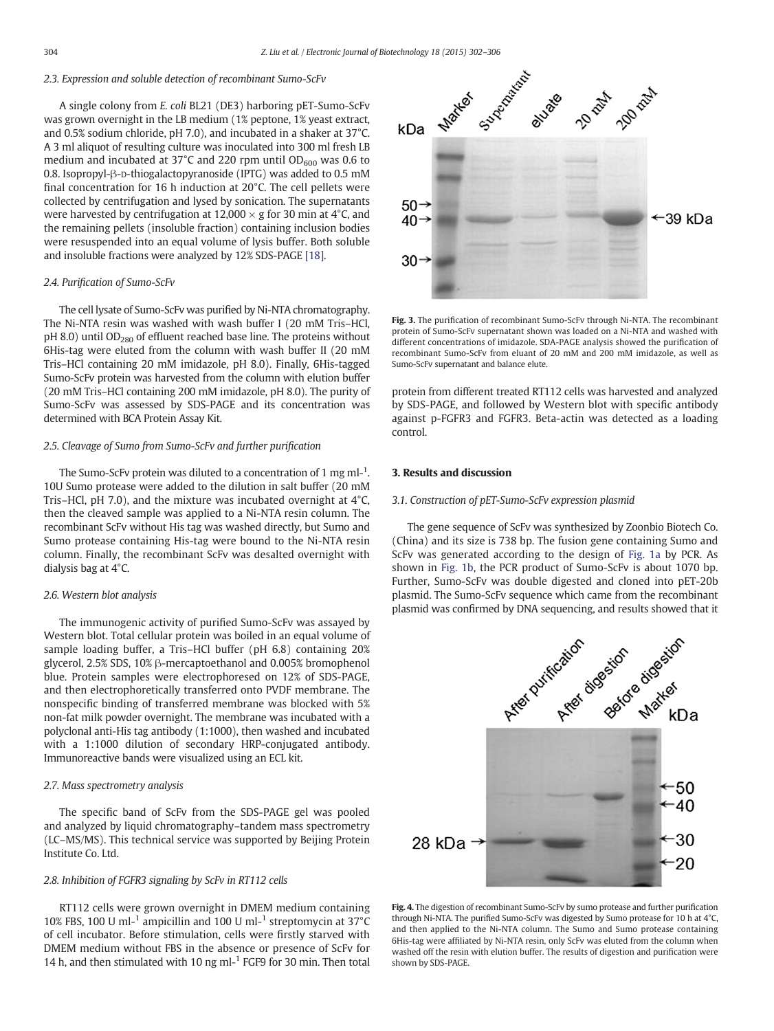### <span id="page-2-0"></span>2.3. Expression and soluble detection of recombinant Sumo-ScFv

A single colony from E. coli BL21 (DE3) harboring pET-Sumo-ScFv was grown overnight in the LB medium (1% peptone, 1% yeast extract, and 0.5% sodium chloride, pH 7.0), and incubated in a shaker at 37°C. A 3 ml aliquot of resulting culture was inoculated into 300 ml fresh LB medium and incubated at 37°C and 220 rpm until  $OD_{600}$  was 0.6 to 0.8. Isopropyl-β-D-thiogalactopyranoside (IPTG) was added to 0.5 mM final concentration for 16 h induction at 20°C. The cell pellets were collected by centrifugation and lysed by sonication. The supernatants were harvested by centrifugation at  $12,000 \times g$  for 30 min at 4°C, and the remaining pellets (insoluble fraction) containing inclusion bodies were resuspended into an equal volume of lysis buffer. Both soluble and insoluble fractions were analyzed by 12% SDS-PAGE [\[18\]](#page-4-0).

#### 2.4. Purification of Sumo-ScFv

The cell lysate of Sumo-ScFv was purified by Ni-NTA chromatography. The Ni-NTA resin was washed with wash buffer I (20 mM Tris–HCl,  $pH$  8.0) until OD<sub>280</sub> of effluent reached base line. The proteins without 6His-tag were eluted from the column with wash buffer II (20 mM Tris–HCl containing 20 mM imidazole, pH 8.0). Finally, 6His-tagged Sumo-ScFv protein was harvested from the column with elution buffer (20 mM Tris–HCl containing 200 mM imidazole, pH 8.0). The purity of Sumo-ScFv was assessed by SDS-PAGE and its concentration was determined with BCA Protein Assay Kit.

#### 2.5. Cleavage of Sumo from Sumo-ScFv and further purification

The Sumo-ScFv protein was diluted to a concentration of 1 mg ml- $^1$ . 10U Sumo protease were added to the dilution in salt buffer (20 mM Tris–HCl, pH 7.0), and the mixture was incubated overnight at 4°C, then the cleaved sample was applied to a Ni-NTA resin column. The recombinant ScFv without His tag was washed directly, but Sumo and Sumo protease containing His-tag were bound to the Ni-NTA resin column. Finally, the recombinant ScFv was desalted overnight with dialysis bag at 4°C.

#### 2.6. Western blot analysis

The immunogenic activity of purified Sumo-ScFv was assayed by Western blot. Total cellular protein was boiled in an equal volume of sample loading buffer, a Tris–HCl buffer (pH 6.8) containing 20% glycerol, 2.5% SDS, 10% β-mercaptoethanol and 0.005% bromophenol blue. Protein samples were electrophoresed on 12% of SDS-PAGE, and then electrophoretically transferred onto PVDF membrane. The nonspecific binding of transferred membrane was blocked with 5% non-fat milk powder overnight. The membrane was incubated with a polyclonal anti-His tag antibody (1:1000), then washed and incubated with a 1:1000 dilution of secondary HRP-conjugated antibody. Immunoreactive bands were visualized using an ECL kit.

#### 2.7. Mass spectrometry analysis

The specific band of ScFv from the SDS-PAGE gel was pooled and analyzed by liquid chromatography–tandem mass spectrometry (LC–MS/MS). This technical service was supported by Beijing Protein Institute Co. Ltd.

#### 2.8. Inhibition of FGFR3 signaling by ScFv in RT112 cells

RT112 cells were grown overnight in DMEM medium containing 10% FBS, 100 U ml-1 ampicillin and 100 U ml-<sup>1</sup> streptomycin at 37°C of cell incubator. Before stimulation, cells were firstly starved with DMEM medium without FBS in the absence or presence of ScFv for 14 h, and then stimulated with 10 ng ml $-1$  FGF9 for 30 min. Then total



Fig. 3. The purification of recombinant Sumo-ScFv through Ni-NTA. The recombinant protein of Sumo-ScFv supernatant shown was loaded on a Ni-NTA and washed with different concentrations of imidazole. SDA-PAGE analysis showed the purification of recombinant Sumo-ScFv from eluant of 20 mM and 200 mM imidazole, as well as Sumo-ScFv supernatant and balance elute.

protein from different treated RT112 cells was harvested and analyzed by SDS-PAGE, and followed by Western blot with specific antibody against p-FGFR3 and FGFR3. Beta-actin was detected as a loading control.

#### 3. Results and discussion

#### 3.1. Construction of pET-Sumo-ScFv expression plasmid

The gene sequence of ScFv was synthesized by Zoonbio Biotech Co. (China) and its size is 738 bp. The fusion gene containing Sumo and ScFv was generated according to the design of [Fig. 1a](#page-1-0) by PCR. As shown in [Fig. 1b](#page-1-0), the PCR product of Sumo-ScFv is about 1070 bp. Further, Sumo-ScFv was double digested and cloned into pET-20b plasmid. The Sumo-ScFv sequence which came from the recombinant plasmid was confirmed by DNA sequencing, and results showed that it



Fig. 4. The digestion of recombinant Sumo-ScFv by sumo protease and further purification through Ni-NTA. The purified Sumo-ScFv was digested by Sumo protease for 10 h at 4°C, and then applied to the Ni-NTA column. The Sumo and Sumo protease containing 6His-tag were affiliated by Ni-NTA resin, only ScFv was eluted from the column when washed off the resin with elution buffer. The results of digestion and purification were shown by SDS-PAGE.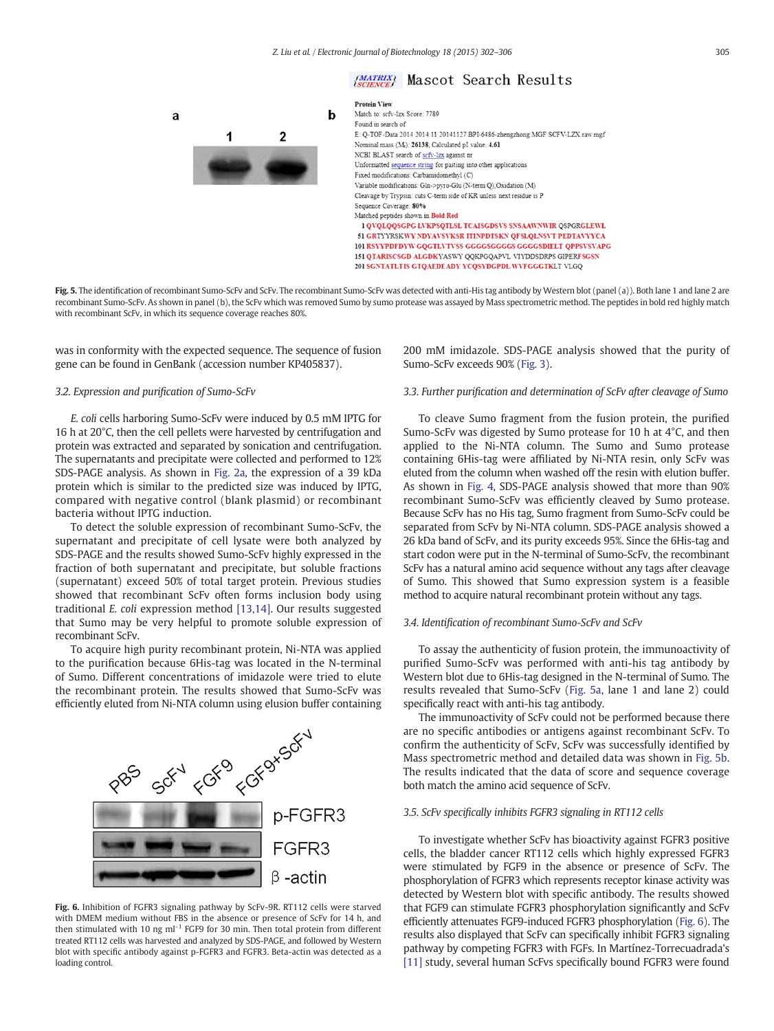

## (MATRIX) Mascot Search Results



Fig. 5. The identification of recombinant Sumo-ScFv and ScFv. The recombinant Sumo-ScFv was detected with anti-His tag antibody by Western blot (panel (a)). Both lane 1 and lane 2 are recombinant Sumo-ScFv. As shown in panel (b), the ScFv which was removed Sumo by sumo protease was assayed by Mass spectrometric method. The peptides in bold red highly match with recombinant ScFv, in which its sequence coverage reaches 80%.

was in conformity with the expected sequence. The sequence of fusion gene can be found in GenBank (accession number KP405837).

#### 3.2. Expression and purification of Sumo-ScFv

a

E. coli cells harboring Sumo-ScFv were induced by 0.5 mM IPTG for 16 h at 20°C, then the cell pellets were harvested by centrifugation and protein was extracted and separated by sonication and centrifugation. The supernatants and precipitate were collected and performed to 12% SDS-PAGE analysis. As shown in [Fig. 2a,](#page-1-0) the expression of a 39 kDa protein which is similar to the predicted size was induced by IPTG, compared with negative control (blank plasmid) or recombinant bacteria without IPTG induction.

To detect the soluble expression of recombinant Sumo-ScFv, the supernatant and precipitate of cell lysate were both analyzed by SDS-PAGE and the results showed Sumo-ScFv highly expressed in the fraction of both supernatant and precipitate, but soluble fractions (supernatant) exceed 50% of total target protein. Previous studies showed that recombinant ScFv often forms inclusion body using traditional E. coli expression method [\[13,14\]](#page-4-0). Our results suggested that Sumo may be very helpful to promote soluble expression of recombinant ScFv.

To acquire high purity recombinant protein, Ni-NTA was applied to the purification because 6His-tag was located in the N-terminal of Sumo. Different concentrations of imidazole were tried to elute the recombinant protein. The results showed that Sumo-ScFv was efficiently eluted from Ni-NTA column using elusion buffer containing



Fig. 6. Inhibition of FGFR3 signaling pathway by ScFv-9R. RT112 cells were starved with DMEM medium without FBS in the absence or presence of ScFv for 14 h, and then stimulated with 10 ng  $ml^{-1}$  FGF9 for 30 min. Then total protein from different treated RT112 cells was harvested and analyzed by SDS-PAGE, and followed by Western blot with specific antibody against p-FGFR3 and FGFR3. Beta-actin was detected as a loading control.

## 200 mM imidazole. SDS-PAGE analysis showed that the purity of Sumo-ScFv exceeds 90% [\(Fig. 3\)](#page-2-0).

#### 3.3. Further purification and determination of ScFv after cleavage of Sumo

To cleave Sumo fragment from the fusion protein, the purified Sumo-ScFv was digested by Sumo protease for 10 h at 4°C, and then applied to the Ni-NTA column. The Sumo and Sumo protease containing 6His-tag were affiliated by Ni-NTA resin, only ScFv was eluted from the column when washed off the resin with elution buffer. As shown in [Fig. 4,](#page-2-0) SDS-PAGE analysis showed that more than 90% recombinant Sumo-ScFv was efficiently cleaved by Sumo protease. Because ScFv has no His tag, Sumo fragment from Sumo-ScFv could be separated from ScFv by Ni-NTA column. SDS-PAGE analysis showed a 26 kDa band of ScFv, and its purity exceeds 95%. Since the 6His-tag and start codon were put in the N-terminal of Sumo-ScFv, the recombinant ScFv has a natural amino acid sequence without any tags after cleavage of Sumo. This showed that Sumo expression system is a feasible method to acquire natural recombinant protein without any tags.

#### 3.4. Identification of recombinant Sumo-ScFv and ScFv

To assay the authenticity of fusion protein, the immunoactivity of purified Sumo-ScFv was performed with anti-his tag antibody by Western blot due to 6His-tag designed in the N-terminal of Sumo. The results revealed that Sumo-ScFv (Fig. 5a, lane 1 and lane 2) could specifically react with anti-his tag antibody.

The immunoactivity of ScFv could not be performed because there are no specific antibodies or antigens against recombinant ScFv. To confirm the authenticity of ScFv, ScFv was successfully identified by Mass spectrometric method and detailed data was shown in Fig. 5b. The results indicated that the data of score and sequence coverage both match the amino acid sequence of ScFv.

#### 3.5. ScFv specifically inhibits FGFR3 signaling in RT112 cells

To investigate whether ScFv has bioactivity against FGFR3 positive cells, the bladder cancer RT112 cells which highly expressed FGFR3 were stimulated by FGF9 in the absence or presence of ScFv. The phosphorylation of FGFR3 which represents receptor kinase activity was detected by Western blot with specific antibody. The results showed that FGF9 can stimulate FGFR3 phosphorylation significantly and ScFv efficiently attenuates FGF9-induced FGFR3 phosphorylation (Fig. 6). The results also displayed that ScFv can specifically inhibit FGFR3 signaling pathway by competing FGFR3 with FGFs. In Martínez-Torrecuadrada's [\[11\]](#page-4-0) study, several human ScFvs specifically bound FGFR3 were found